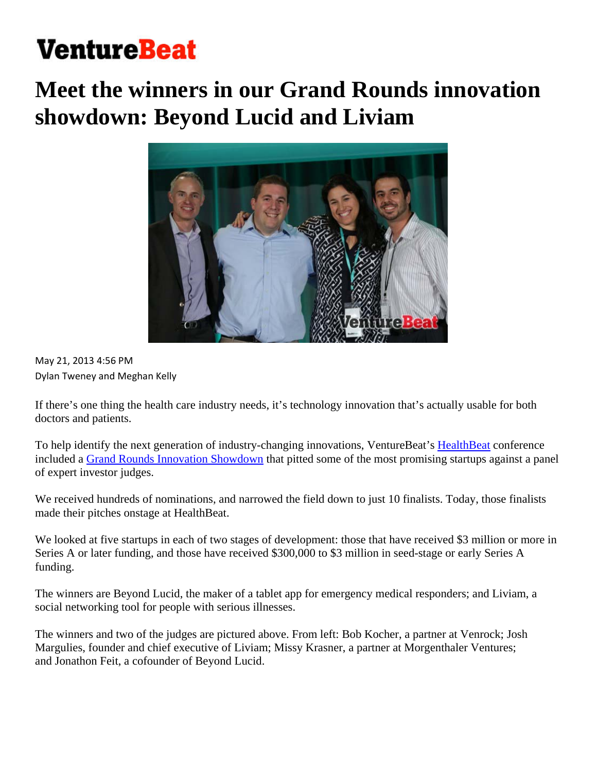# **VentureBeat**

# **Meet the winners in our Grand Rounds innovation showdown: Beyond Lucid and Liviam**



May 21, 2013 4:56 PM Dylan Tweney and Meghan Kelly

If there's one thing the health care industry needs, it's technology innovation that's actually usable for both doctors and patients.

To help identify the next generation of industry-changing innovations, VentureBeat's HealthBeat conference included a Grand Rounds Innovation Showdown that pitted some of the most promising startups against a panel of expert investor judges.

We received hundreds of nominations, and narrowed the field down to just 10 finalists. Today, those finalists made their pitches onstage at HealthBeat.

We looked at five startups in each of two stages of development: those that have received \$3 million or more in Series A or later funding, and those have received \$300,000 to \$3 million in seed-stage or early Series A funding.

The winners are Beyond Lucid, the maker of a tablet app for emergency medical responders; and Liviam, a social networking tool for people with serious illnesses.

The winners and two of the judges are pictured above. From left: Bob Kocher, a partner at Venrock; Josh Margulies, founder and chief executive of Liviam; Missy Krasner, a partner at Morgenthaler Ventures; and Jonathon Feit, a cofounder of Beyond Lucid.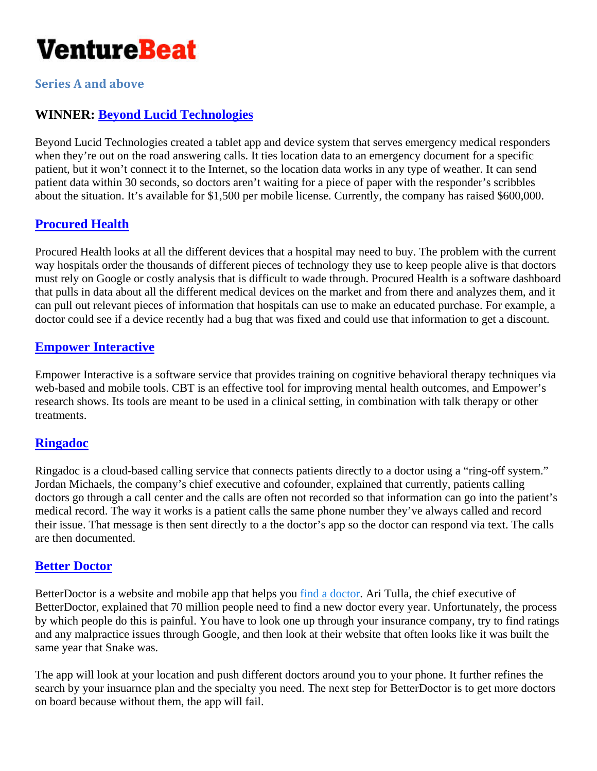

**Series A and above**

# **WINNER: Beyond Lucid Technologies**

Beyond Lucid Technologies created a tablet app and device system that serves emergency medical responders when they're out on the road answering calls. It ties location data to an emergency document for a specific patient, but it won't connect it to the Internet, so the location data works in any type of weather. It can send patient data within 30 seconds, so doctors aren't waiting for a piece of paper with the responder's scribbles about the situation. It's available for \$1,500 per mobile license. Currently, the company has raised \$600,000.

## **Procured Health**

Procured Health looks at all the different devices that a hospital may need to buy. The problem with the current way hospitals order the thousands of different pieces of technology they use to keep people alive is that doctors must rely on Google or costly analysis that is difficult to wade through. Procured Health is a software dashboard that pulls in data about all the different medical devices on the market and from there and analyzes them, and it can pull out relevant pieces of information that hospitals can use to make an educated purchase. For example, a doctor could see if a device recently had a bug that was fixed and could use that information to get a discount.

#### **Empower Interactive**

Empower Interactive is a software service that provides training on cognitive behavioral therapy techniques via web-based and mobile tools. CBT is an effective tool for improving mental health outcomes, and Empower's research shows. Its tools are meant to be used in a clinical setting, in combination with talk therapy or other treatments.

#### **Ringadoc**

Ringadoc is a cloud-based calling service that connects patients directly to a doctor using a "ring-off system." Jordan Michaels, the company's chief executive and cofounder, explained that currently, patients calling doctors go through a call center and the calls are often not recorded so that information can go into the patient's medical record. The way it works is a patient calls the same phone number they've always called and record their issue. That message is then sent directly to a the doctor's app so the doctor can respond via text. The calls are then documented.

#### **Better Doctor**

BetterDoctor is a website and mobile app that helps you find a doctor. Ari Tulla, the chief executive of BetterDoctor, explained that 70 million people need to find a new doctor every year. Unfortunately, the process by which people do this is painful. You have to look one up through your insurance company, try to find ratings and any malpractice issues through Google, and then look at their website that often looks like it was built the same year that Snake was.

The app will look at your location and push different doctors around you to your phone. It further refines the search by your insuarnce plan and the specialty you need. The next step for BetterDoctor is to get more doctors on board because without them, the app will fail.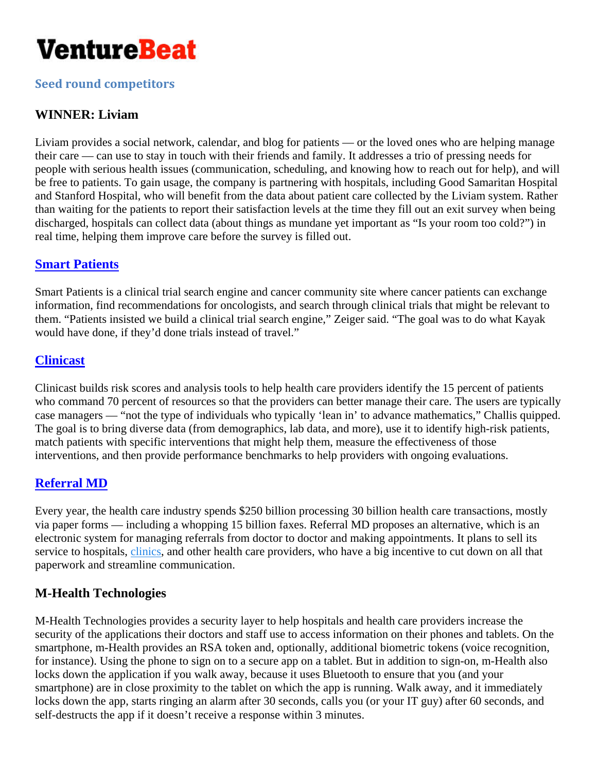

**Seed round competitors**

# **WINNER: Liviam**

Liviam provides a social network, calendar, and blog for patients — or the loved ones who are helping manage their care — can use to stay in touch with their friends and family. It addresses a trio of pressing needs for people with serious health issues (communication, scheduling, and knowing how to reach out for help), and will be free to patients. To gain usage, the company is partnering with hospitals, including Good Samaritan Hospital and Stanford Hospital, who will benefit from the data about patient care collected by the Liviam system. Rather than waiting for the patients to report their satisfaction levels at the time they fill out an exit survey when being discharged, hospitals can collect data (about things as mundane yet important as "Is your room too cold?") in real time, helping them improve care before the survey is filled out.

# **Smart Patients**

Smart Patients is a clinical trial search engine and cancer community site where cancer patients can exchange information, find recommendations for oncologists, and search through clinical trials that might be relevant to them. "Patients insisted we build a clinical trial search engine," Zeiger said. "The goal was to do what Kayak would have done, if they'd done trials instead of travel."

## **Clinicast**

Clinicast builds risk scores and analysis tools to help health care providers identify the 15 percent of patients who command 70 percent of resources so that the providers can better manage their care. The users are typically case managers — "not the type of individuals who typically 'lean in' to advance mathematics," Challis quipped. The goal is to bring diverse data (from demographics, lab data, and more), use it to identify high-risk patients, match patients with specific interventions that might help them, measure the effectiveness of those interventions, and then provide performance benchmarks to help providers with ongoing evaluations.

# **Referral MD**

Every year, the health care industry spends \$250 billion processing 30 billion health care transactions, mostly via paper forms — including a whopping 15 billion faxes. Referral MD proposes an alternative, which is an electronic system for managing referrals from doctor to doctor and making appointments. It plans to sell its service to hospitals, clinics, and other health care providers, who have a big incentive to cut down on all that paperwork and streamline communication.

# **M-Health Technologies**

M-Health Technologies provides a security layer to help hospitals and health care providers increase the security of the applications their doctors and staff use to access information on their phones and tablets. On the smartphone, m-Health provides an RSA token and, optionally, additional biometric tokens (voice recognition, for instance). Using the phone to sign on to a secure app on a tablet. But in addition to sign-on, m-Health also locks down the application if you walk away, because it uses Bluetooth to ensure that you (and your smartphone) are in close proximity to the tablet on which the app is running. Walk away, and it immediately locks down the app, starts ringing an alarm after 30 seconds, calls you (or your IT guy) after 60 seconds, and self-destructs the app if it doesn't receive a response within 3 minutes.